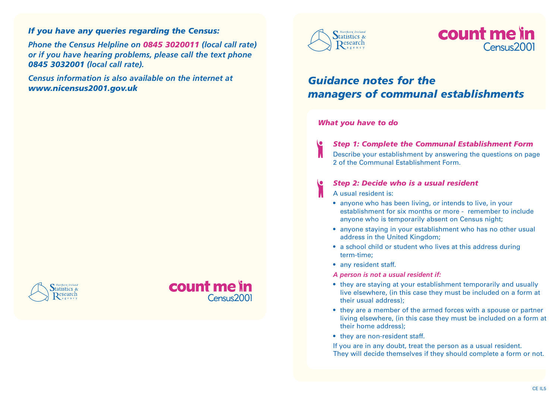### *If you have any queries regarding the Census:*

*Phone the Census Helpline on 0845 3020011 (local call rate) or if you have hearing problems, please call the text phone 0845 3032001 (local call rate).*

*Census information is also available on the internet at www.nicensus2001.gov.uk*







# count me in  $Canus2001$

## *Guidance notes for the managers of communal establishments*

#### *What you have to do*

*Step 1: Complete the Communal Establishment Form*

Describe your establishment by answering the questions on page 2 of the Communal Establishment Form.

#### *Step 2: Decide who is a usual resident*

- A usual resident is:
- anyone who has been living, or intends to live, in your establishment for six months or more - remember to include anyone who is temporarily absent on Census night;
- anyone staying in your establishment who has no other usual address in the United Kingdom;
- a school child or student who lives at this address during term-time;
- any resident staff.

*A person is not a usual resident if:*

- they are staying at your establishment temporarily and usually live elsewhere, (in this case they must be included on a form at their usual address);
- they are a member of the armed forces with a spouse or partner living elsewhere, (in this case they must be included on a form at their home address);
- they are non-resident staff.

If you are in any doubt, treat the person as a usual resident. They will decide themselves if they should complete a form or not.